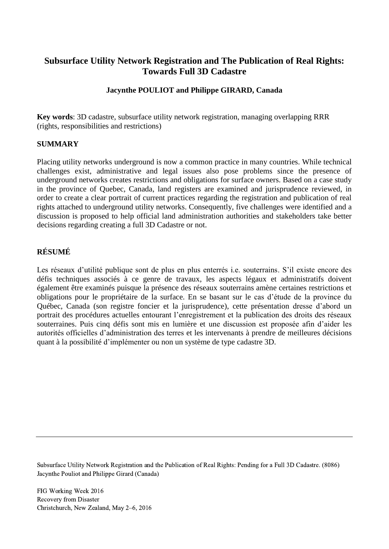# **Subsurface Utility Network Registration and The Publication of Real Rights: Towards Full 3D Cadastre**

## **Jacynthe POULIOT and Philippe GIRARD, Canada**

**Key words**: 3D cadastre, subsurface utility network registration, managing overlapping RRR (rights, responsibilities and restrictions)

## **SUMMARY**

Placing utility networks underground is now a common practice in many countries. While technical challenges exist, administrative and legal issues also pose problems since the presence of underground networks creates restrictions and obligations for surface owners. Based on a case study in the province of Quebec, Canada, land registers are examined and jurisprudence reviewed, in order to create a clear portrait of current practices regarding the registration and publication of real rights attached to underground utility networks. Consequently, five challenges were identified and a discussion is proposed to help official land administration authorities and stakeholders take better decisions regarding creating a full 3D Cadastre or not.

## **RÉSUMÉ**

Les réseaux d'utilité publique sont de plus en plus enterrés i.e. souterrains. S'il existe encore des défis techniques associés à ce genre de travaux, les aspects légaux et administratifs doivent également être examinés puisque la présence des réseaux souterrains amène certaines restrictions et obligations pour le propriétaire de la surface. En se basant sur le cas d'étude de la province du Québec, Canada (son registre foncier et la jurisprudence), cette présentation dresse d'abord un portrait des procédures actuelles entourant l'enregistrement et la publication des droits des réseaux souterraines. Puis cinq défis sont mis en lumière et une discussion est proposée afin d'aider les autorités officielles d'administration des terres et les intervenants à prendre de meilleures décisions quant à la possibilité d'implémenter ou non un système de type cadastre 3D.

Subsurface Utility Network Registration and the Publication of Real Rights: Pending for a Full 3D Cadastre. (8086) Jacynthe Pouliot and Philippe Girard (Canada)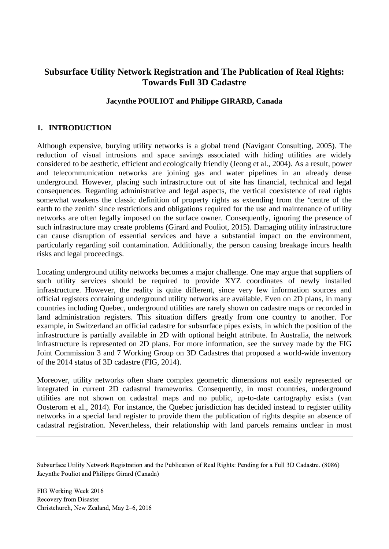# **Subsurface Utility Network Registration and The Publication of Real Rights: Towards Full 3D Cadastre**

## **Jacynthe POULIOT and Philippe GIRARD, Canada**

## **1. INTRODUCTION**

Although expensive, burying utility networks is a global trend (Navigant Consulting, 2005). The reduction of visual intrusions and space savings associated with hiding utilities are widely considered to be aesthetic, efficient and ecologically friendly (Jeong et al., 2004). As a result, power and telecommunication networks are joining gas and water pipelines in an already dense underground. However, placing such infrastructure out of site has financial, technical and legal consequences. Regarding administrative and legal aspects, the vertical coexistence of real rights somewhat weakens the classic definition of property rights as extending from the 'centre of the earth to the zenith' since restrictions and obligations required for the use and maintenance of utility networks are often legally imposed on the surface owner. Consequently, ignoring the presence of such infrastructure may create problems (Girard and Pouliot, 2015). Damaging utility infrastructure can cause disruption of essential services and have a substantial impact on the environment, particularly regarding soil contamination. Additionally, the person causing breakage incurs health risks and legal proceedings.

Locating underground utility networks becomes a major challenge. One may argue that suppliers of such utility services should be required to provide XYZ coordinates of newly installed infrastructure. However, the reality is quite different, since very few information sources and official registers containing underground utility networks are available. Even on 2D plans, in many countries including Quebec, underground utilities are rarely shown on cadastre maps or recorded in land administration registers. This situation differs greatly from one country to another. For example, in Switzerland an official cadastre for subsurface pipes exists, in which the position of the infrastructure is partially available in 2D with optional height attribute. In Australia, the network infrastructure is represented on 2D plans. For more information, see the survey made by the FIG Joint Commission 3 and 7 Working Group on 3D Cadastres that proposed a world-wide inventory of the 2014 status of 3D cadastre (FIG, 2014).

Moreover, utility networks often share complex geometric dimensions not easily represented or integrated in current 2D cadastral frameworks. Consequently, in most countries, underground utilities are not shown on cadastral maps and no public, up-to-date cartography exists (van Oosterom et al., 2014). For instance, the Quebec jurisdiction has decided instead to register utility networks in a special land register to provide them the publication of rights despite an absence of cadastral registration. Nevertheless, their relationship with land parcels remains unclear in most

Subsurface Utility Network Registration and the Publication of Real Rights: Pending for a Full 3D Cadastre. (8086) Jacynthe Pouliot and Philippe Girard (Canada)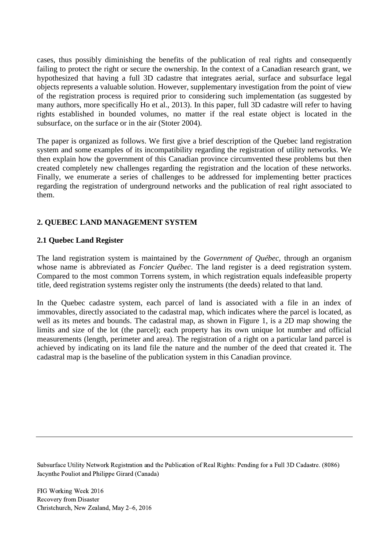cases, thus possibly diminishing the benefits of the publication of real rights and consequently failing to protect the right or secure the ownership. In the context of a Canadian research grant, we hypothesized that having a full 3D cadastre that integrates aerial, surface and subsurface legal objects represents a valuable solution. However, supplementary investigation from the point of view of the registration process is required prior to considering such implementation (as suggested by many authors, more specifically Ho et al., 2013). In this paper, full 3D cadastre will refer to having rights established in bounded volumes, no matter if the real estate object is located in the subsurface, on the surface or in the air (Stoter 2004).

The paper is organized as follows. We first give a brief description of the Quebec land registration system and some examples of its incompatibility regarding the registration of utility networks. We then explain how the government of this Canadian province circumvented these problems but then created completely new challenges regarding the registration and the location of these networks. Finally, we enumerate a series of challenges to be addressed for implementing better practices regarding the registration of underground networks and the publication of real right associated to them.

## **2. QUEBEC LAND MANAGEMENT SYSTEM**

## **2.1 Quebec Land Register**

The land registration system is maintained by the *Government of Québec,* through an organism whose name is abbreviated as *Foncier Québec*. The land register is a deed registration system. Compared to the most common Torrens system, in which registration equals indefeasible property title, deed registration systems register only the instruments (the deeds) related to that land.

In the Quebec cadastre system, each parcel of land is associated with a file in an index of immovables, directly associated to the cadastral map, which indicates where the parcel is located, as well as its metes and bounds. The cadastral map, as shown in Figure 1, is a 2D map showing the limits and size of the lot (the parcel); each property has its own unique lot number and official measurements (length, perimeter and area). The registration of a right on a particular land parcel is achieved by indicating on its land file the nature and the number of the deed that created it. The cadastral map is the baseline of the publication system in this Canadian province.

Subsurface Utility Network Registration and the Publication of Real Rights: Pending for a Full 3D Cadastre. (8086) Jacynthe Pouliot and Philippe Girard (Canada)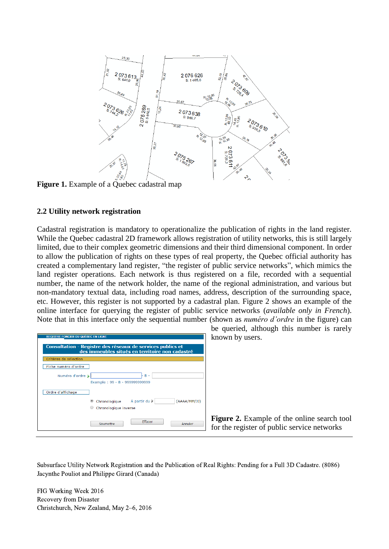

**Figure 1.** Example of a Quebec cadastral map

## **2.2 Utility network registration**

Cadastral registration is mandatory to operationalize the publication of rights in the land register. While the Quebec cadastral 2D framework allows registration of utility networks, this is still largely limited, due to their complex geometric dimensions and their third dimensional component. In order to allow the publication of rights on these types of real property, the Quebec official authority has created a complementary land register, "the register of public service networks", which mimics the land register operations. Each network is thus registered on a file, recorded with a sequential number, the name of the network holder, the name of the regional administration, and various but non-mandatory textual data, including road names, address, description of the surrounding space, etc. However, this register is not supported by a cadastral plan. Figure 2 shows an example of the online interface for querying the register of public service networks (*available only in French*). Note that in this interface only the sequential number (shown as *numéro d'ordre* in the figure) can

| <b>REGISTRE FONCIER DU QUÉBEC EN LIGNE</b><br><b>Consultation - Registre des réseaux de services publics et</b><br>des immeubles situés en territoire non cadastré |                                                                    |
|--------------------------------------------------------------------------------------------------------------------------------------------------------------------|--------------------------------------------------------------------|
| Critères de sélection                                                                                                                                              |                                                                    |
| Fiche numéro d'ordre                                                                                                                                               |                                                                    |
| Numéro d'ordre                                                                                                                                                     | $B -$<br>Exemple: 99 - B - 999999999999                            |
| Ordre d'affichage                                                                                                                                                  |                                                                    |
|                                                                                                                                                                    | Chronologique À partir du<br>(AAAA/MM/JJ)<br>Chronologique inverse |
|                                                                                                                                                                    | Effacer<br>Annuler<br>Soumettre                                    |

be queried, although this number is rarely known by users.

**Figure 2.** Example of the online search tool for the register of public service networks

Subsurface Utility Network Registration and the Publication of Real Rights: Pending for a Full 3D Cadastre. (8086) Jacynthe Pouliot and Philippe Girard (Canada)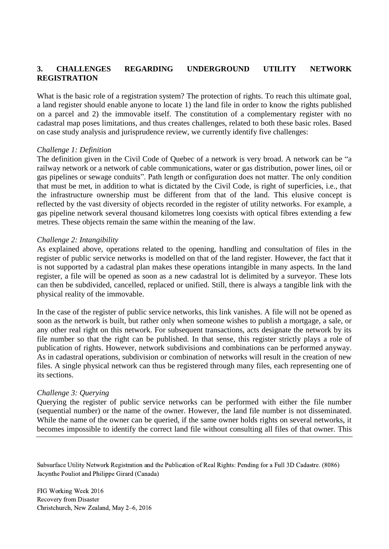## **3. CHALLENGES REGARDING UNDERGROUND UTILITY NETWORK REGISTRATION**

What is the basic role of a registration system? The protection of rights. To reach this ultimate goal, a land register should enable anyone to locate 1) the land file in order to know the rights published on a parcel and 2) the immovable itself. The constitution of a complementary register with no cadastral map poses limitations, and thus creates challenges, related to both these basic roles. Based on case study analysis and jurisprudence review, we currently identify five challenges:

#### *Challenge 1: Definition*

The definition given in the Civil Code of Quebec of a network is very broad. A network can be "a railway network or a network of cable communications, water or gas distribution, power lines, oil or gas pipelines or sewage conduits". Path length or configuration does not matter. The only condition that must be met, in addition to what is dictated by the Civil Code, is right of superficies, i.e., that the infrastructure ownership must be different from that of the land. This elusive concept is reflected by the vast diversity of objects recorded in the register of utility networks. For example, a gas pipeline network several thousand kilometres long coexists with optical fibres extending a few metres. These objects remain the same within the meaning of the law.

#### *Challenge 2: Intangibility*

As explained above, operations related to the opening, handling and consultation of files in the register of public service networks is modelled on that of the land register. However, the fact that it is not supported by a cadastral plan makes these operations intangible in many aspects. In the land register, a file will be opened as soon as a new cadastral lot is delimited by a surveyor. These lots can then be subdivided, cancelled, replaced or unified. Still, there is always a tangible link with the physical reality of the immovable.

In the case of the register of public service networks, this link vanishes. A file will not be opened as soon as the network is built, but rather only when someone wishes to publish a mortgage, a sale, or any other real right on this network. For subsequent transactions, acts designate the network by its file number so that the right can be published. In that sense, this register strictly plays a role of publication of rights. However, network subdivisions and combinations can be performed anyway. As in cadastral operations, subdivision or combination of networks will result in the creation of new files. A single physical network can thus be registered through many files, each representing one of its sections.

#### *Challenge 3: Querying*

Querying the register of public service networks can be performed with either the file number (sequential number) or the name of the owner. However, the land file number is not disseminated. While the name of the owner can be queried, if the same owner holds rights on several networks, it becomes impossible to identify the correct land file without consulting all files of that owner. This

Subsurface Utility Network Registration and the Publication of Real Rights: Pending for a Full 3D Cadastre. (8086) Jacynthe Pouliot and Philippe Girard (Canada)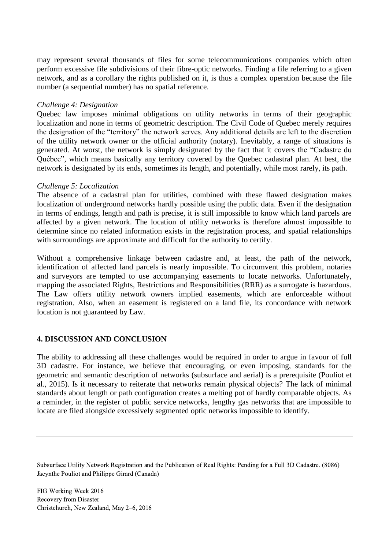may represent several thousands of files for some telecommunications companies which often perform excessive file subdivisions of their fibre-optic networks. Finding a file referring to a given network, and as a corollary the rights published on it, is thus a complex operation because the file number (a sequential number) has no spatial reference.

### *Challenge 4: Designation*

Quebec law imposes minimal obligations on utility networks in terms of their geographic localization and none in terms of geometric description. The Civil Code of Quebec merely requires the designation of the "territory" the network serves. Any additional details are left to the discretion of the utility network owner or the official authority (notary). Inevitably, a range of situations is generated. At worst, the network is simply designated by the fact that it covers the "Cadastre du Québec", which means basically any territory covered by the Quebec cadastral plan. At best, the network is designated by its ends, sometimes its length, and potentially, while most rarely, its path.

#### *Challenge 5: Localization*

The absence of a cadastral plan for utilities, combined with these flawed designation makes localization of underground networks hardly possible using the public data. Even if the designation in terms of endings, length and path is precise, it is still impossible to know which land parcels are affected by a given network. The location of utility networks is therefore almost impossible to determine since no related information exists in the registration process, and spatial relationships with surroundings are approximate and difficult for the authority to certify.

Without a comprehensive linkage between cadastre and, at least, the path of the network, identification of affected land parcels is nearly impossible. To circumvent this problem, notaries and surveyors are tempted to use accompanying easements to locate networks. Unfortunately, mapping the associated Rights, Restrictions and Responsibilities (RRR) as a surrogate is hazardous. The Law offers utility network owners implied easements, which are enforceable without registration. Also, when an easement is registered on a land file, its concordance with network location is not guaranteed by Law.

## **4. DISCUSSION AND CONCLUSION**

The ability to addressing all these challenges would be required in order to argue in favour of full 3D cadastre. For instance, we believe that encouraging, or even imposing, standards for the geometric and semantic description of networks (subsurface and aerial) is a prerequisite (Pouliot et al., 2015). Is it necessary to reiterate that networks remain physical objects? The lack of minimal standards about length or path configuration creates a melting pot of hardly comparable objects. As a reminder, in the register of public service networks, lengthy gas networks that are impossible to locate are filed alongside excessively segmented optic networks impossible to identify.

Subsurface Utility Network Registration and the Publication of Real Rights: Pending for a Full 3D Cadastre. (8086) Jacynthe Pouliot and Philippe Girard (Canada)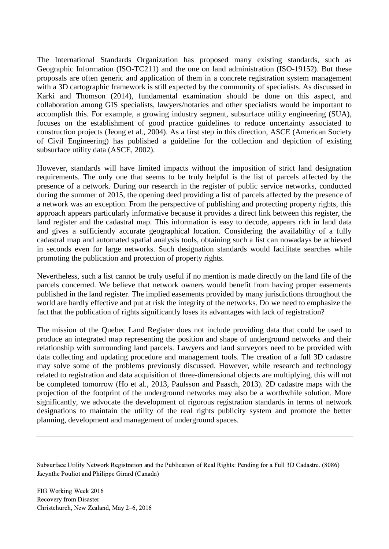The International Standards Organization has proposed many existing standards, such as Geographic Information (ISO-TC211) and the one on land administration (ISO-19152). But these proposals are often generic and application of them in a concrete registration system management with a 3D cartographic framework is still expected by the community of specialists. As discussed in Karki and Thomson (2014), fundamental examination should be done on this aspect, and collaboration among GIS specialists, lawyers/notaries and other specialists would be important to accomplish this. For example, a growing industry segment, subsurface utility engineering (SUA), focuses on the establishment of good practice guidelines to reduce uncertainty associated to construction projects (Jeong et al., 2004). As a first step in this direction, ASCE (American Society of Civil Engineering) has published a guideline for the collection and depiction of existing subsurface utility data (ASCE, 2002).

However, standards will have limited impacts without the imposition of strict land designation requirements. The only one that seems to be truly helpful is the list of parcels affected by the presence of a network. During our research in the register of public service networks, conducted during the summer of 2015, the opening deed providing a list of parcels affected by the presence of a network was an exception. From the perspective of publishing and protecting property rights, this approach appears particularly informative because it provides a direct link between this register, the land register and the cadastral map. This information is easy to decode, appears rich in land data and gives a sufficiently accurate geographical location. Considering the availability of a fully cadastral map and automated spatial analysis tools, obtaining such a list can nowadays be achieved in seconds even for large networks. Such designation standards would facilitate searches while promoting the publication and protection of property rights.

Nevertheless, such a list cannot be truly useful if no mention is made directly on the land file of the parcels concerned. We believe that network owners would benefit from having proper easements published in the land register. The implied easements provided by many jurisdictions throughout the world are hardly effective and put at risk the integrity of the networks. Do we need to emphasize the fact that the publication of rights significantly loses its advantages with lack of registration?

The mission of the Quebec Land Register does not include providing data that could be used to produce an integrated map representing the position and shape of underground networks and their relationship with surrounding land parcels. Lawyers and land surveyors need to be provided with data collecting and updating procedure and management tools. The creation of a full 3D cadastre may solve some of the problems previously discussed. However, while research and technology related to registration and data acquisition of three-dimensional objects are multiplying, this will not be completed tomorrow (Ho et al., 2013, Paulsson and Paasch, 2013). 2D cadastre maps with the projection of the footprint of the underground networks may also be a worthwhile solution. More significantly, we advocate the development of rigorous registration standards in terms of network designations to maintain the utility of the real rights publicity system and promote the better planning, development and management of underground spaces.

Subsurface Utility Network Registration and the Publication of Real Rights: Pending for a Full 3D Cadastre. (8086) Jacynthe Pouliot and Philippe Girard (Canada)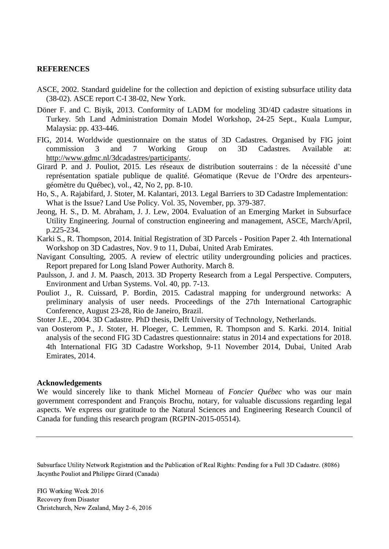#### **REFERENCES**

- ASCE, 2002. Standard guideline for the collection and depiction of existing subsurface utility data (38-02). ASCE report C-I 38-02, New York.
- Döner F. and C. Biyik, 2013. Conformity of LADM for modeling 3D/4D cadastre situations in Turkey. 5th Land Administration Domain Model Workshop, 24-25 Sept., Kuala Lumpur, Malaysia: pp. 433-446.
- FIG, 2014. Worldwide questionnaire on the status of 3D Cadastres. Organised by FIG joint commission 3 and 7 Working Group on 3D Cadastres. Available at: [http://www.gdmc.nl/3dcadastres/participants/.](http://www.gdmc.nl/3dcadastres/participants/)
- Girard P. and J. Pouliot, 2015. Les réseaux de distribution souterrains : de la nécessité d'une représentation spatiale publique de qualité. Géomatique (Revue de l'Ordre des arpenteursgéomètre du Québec), vol., 42, No 2, pp. 8-10.
- Ho, S., A. Rajabifard, J. Stoter, M. Kalantari, 2013. Legal Barriers to 3D Cadastre Implementation: What is the Issue? Land Use Policy. Vol. 35, November, pp. 379-387.
- Jeong, H. S., D. M. Abraham, J. J. Lew, 2004. Evaluation of an Emerging Market in Subsurface Utility Engineering. Journal of construction engineering and management, ASCE, March/April, p.225-234.
- Karki S., R. Thompson, 2014. Initial Registration of 3D Parcels Position Paper 2. 4th International Workshop on 3D Cadastres, Nov. 9 to 11, Dubai, United Arab Emirates.
- Navigant Consulting, 2005. A review of electric utility undergrounding policies and practices. Report prepared for Long Island Power Authority. March 8.
- Paulsson, J. and J. M. Paasch, 2013. 3D Property Research from a Legal Perspective. Computers, Environment and Urban Systems. Vol. 40, pp. 7-13.
- Pouliot J., R. Cuissard, P. Bordin, 2015. Cadastral mapping for underground networks: A preliminary analysis of user needs. Proceedings of the 27th International Cartographic Conference, August 23-28, Rio de Janeiro, Brazil.

Stoter J.E., 2004. 3D Cadastre. PhD thesis, Delft University of Technology, Netherlands.

van Oosterom P., J. Stoter, H. Ploeger, C. Lemmen, R. Thompson and S. Karki. 2014. Initial analysis of the second FIG 3D Cadastres questionnaire: status in 2014 and expectations for 2018. 4th International FIG 3D Cadastre Workshop, 9-11 November 2014, Dubai, United Arab Emirates, 2014.

#### **Acknowledgements**

We would sincerely like to thank Michel Morneau of *Foncier Québec* who was our main government correspondent and François Brochu, notary, for valuable discussions regarding legal aspects. We express our gratitude to the Natural Sciences and Engineering Research Council of Canada for funding this research program (RGPIN-2015-05514).

Subsurface Utility Network Registration and the Publication of Real Rights: Pending for a Full 3D Cadastre. (8086) Jacynthe Pouliot and Philippe Girard (Canada)